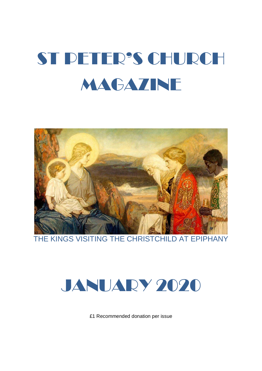# ST PETER'S CHURCH **MAGAZINE**



THE KINGS VISITING THE CHRISTCHILD AT EPIPHANY



£1 Recommended donation per issue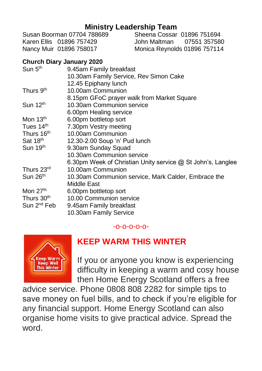# **Ministry Leadership Team**<br>Susan Boorman 07704 788689 Sheena Cossar

Karen Ellis 01896 757429 John Maltman 07551 357580 Nancy Muir 01896 758017 Monica Reynolds 01896 757114

Sheena Cossar 01896 751694

#### **Church Diary January 2020**

| 9.45am Family breakfast                                            |
|--------------------------------------------------------------------|
| 10.30am Family Service, Rev Simon Cake                             |
| 12.45 Epiphany lunch                                               |
| 10.00am Communion                                                  |
| 8.15pm GFoC prayer walk from Market Square                         |
| 10.30am Communion service                                          |
| 6.00pm Healing service                                             |
| 6.00pm bottletop sort                                              |
| 7.30pm Vestry meeting                                              |
| 10.00am Communion                                                  |
| 12.30-2.00 Soup 'n' Pud lunch                                      |
| 9.30am Sunday Squad                                                |
| 10.30am Communion service                                          |
| 6.30pm Week of Christian Unity service $\omega$ St John's, Langlee |
| 10.00am Communion                                                  |
| 10.30am Communion service, Mark Calder, Embrace the                |
| Middle East                                                        |
| 6.00pm bottletop sort                                              |
| 10.00 Communion service                                            |
| 9.45am Family breakfast                                            |
| 10.30am Family Service                                             |
|                                                                    |

-o-o-o-o-o-



# **KEEP WARM THIS WINTER**

If you or anyone you know is experiencing difficulty in keeping a warm and cosy house then Home Energy Scotland offers a free

advice service. Phone 0808 808 2282 for simple tips to save money on fuel bills, and to check if you're eligible for any financial support. Home Energy Scotland can also organise home visits to give practical advice. Spread the word.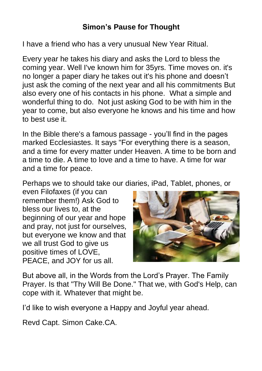I have a friend who has a very unusual New Year Ritual.

Every year he takes his diary and asks the Lord to bless the coming year. Well I've known him for 35yrs. Time moves on. it's no longer a paper diary he takes out it's his phone and doesn't just ask the coming of the next year and all his commitments But also every one of his contacts in his phone. What a simple and wonderful thing to do. Not just asking God to be with him in the year to come, but also everyone he knows and his time and how to best use it.

In the Bible there's a famous passage - you'll find in the pages marked Ecclesiastes. It says "For everything there is a season, and a time for every matter under Heaven. A time to be born and a time to die. A time to love and a time to have. A time for war and a time for peace.

Perhaps we to should take our diaries, iPad, Tablet, phones, or

even Filofaxes (if you can remember them!) Ask God to bless our lives to, at the beginning of our year and hope and pray, not just for ourselves, but everyone we know and that we all trust God to give us positive times of LOVE, PEACE, and JOY for us all.



But above all, in the Words from the Lord's Prayer. The Family Prayer. Is that "Thy Will Be Done." That we, with God's Help, can cope with it. Whatever that might be.

I'd like to wish everyone a Happy and Joyful year ahead.

Revd Capt. Simon Cake.CA.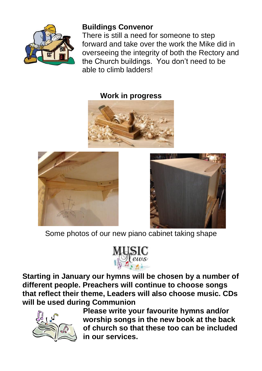

# **Buildings Convenor**

There is still a need for someone to step forward and take over the work the Mike did in overseeing the integrity of both the Rectory and the Church buildings. You don't need to be able to climb ladders!

## **Work in progress**







Some photos of our new piano cabinet taking shape



**Starting in January our hymns will be chosen by a number of different people. Preachers will continue to choose songs that reflect their theme, Leaders will also choose music. CDs will be used during Communion** 



**Please write your favourite hymns and/or worship songs in the new book at the back of church so that these too can be included in our services.**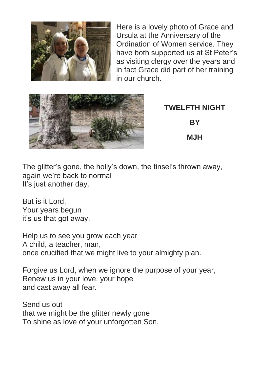

Here is a lovely photo of Grace and Ursula at the Anniversary of the Ordination of Women service. They have both supported us at St Peter's as visiting clergy over the years and in fact Grace did part of her training in our church.



**TWELFTH NIGHT BY MJH**

The glitter's gone, the holly's down, the tinsel's thrown away, again we're back to normal It's just another day.

But is it Lord, Your years begun it's us that got away.

Help us to see you grow each year A child, a teacher, man, once crucified that we might live to your almighty plan.

Forgive us Lord, when we ignore the purpose of your year, Renew us in your love, your hope and cast away all fear.

Send us out that we might be the glitter newly gone To shine as love of your unforgotten Son.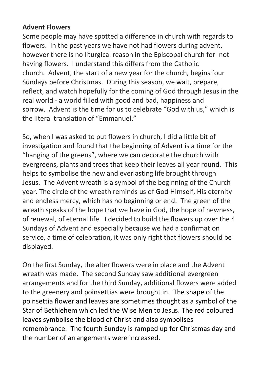#### **Advent Flowers**

Some people may have spotted a difference in church with regards to flowers. In the past years we have not had flowers during advent, however there is no liturgical reason in the Episcopal church for not having flowers. I understand this differs from the Catholic church. Advent, the start of a new year for the church, begins four Sundays before Christmas. During this season, we wait, prepare, reflect, and watch hopefully for the coming of God through Jesus in the real world - a world filled with good and bad, happiness and sorrow. Advent is the time for us to celebrate "God with us," which is the literal translation of "Emmanuel."

So, when I was asked to put flowers in church, I did a little bit of investigation and found that the beginning of Advent is a time for the "hanging of the greens", where we can decorate the church with evergreens, plants and trees that keep their leaves all year round. This helps to symbolise the new and everlasting life brought through Jesus. The Advent wreath is a symbol of the beginning of the Church year. The circle of the wreath reminds us of God Himself, His eternity and endless mercy, which has no beginning or end. The green of the wreath speaks of the hope that we have in God, the hope of newness, of renewal, of eternal life. I decided to build the flowers up over the 4 Sundays of Advent and especially because we had a confirmation service, a time of celebration, it was only right that flowers should be displayed.

On the first Sunday, the alter flowers were in place and the Advent wreath was made. The second Sunday saw additional evergreen arrangements and for the third Sunday, additional flowers were added to the greenery and poinsettias were brought in. The shape of the poinsettia flower and leaves are sometimes thought as a symbol of the Star of Bethlehem which led the Wise Men to Jesus. The red coloured leaves symbolise the blood of Christ and also symbolises remembrance. The fourth Sunday is ramped up for Christmas day and the number of arrangements were increased.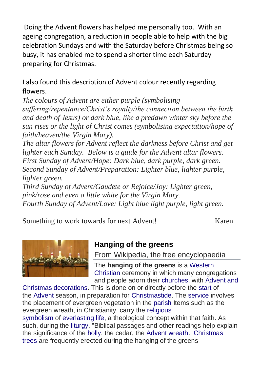Doing the Advent flowers has helped me personally too. With an ageing congregation, a reduction in people able to help with the big celebration Sundays and with the Saturday before Christmas being so busy, it has enabled me to spend a shorter time each Saturday preparing for Christmas.

I also found this description of Advent colour recently regarding flowers.

*The colours of Advent are either purple (symbolising suffering/repentance/Christ's royalty/the connection between the birth and death of Jesus) or dark blue, like a predawn winter sky before the sun rises or the light of Christ comes (symbolising expectation/hope of faith/heaven/the Virgin Mary).*

*The altar flowers for Advent reflect the darkness before Christ and get lighter each Sunday. Below is a guide for the Advent altar flowers. First Sunday of Advent/Hope: Dark blue, dark purple, dark green. Second Sunday of Advent/Preparation: Lighter blue, lighter purple, lighter green.*

*Third Sunday of Advent/Gaudete or Rejoice/Joy: Lighter green, pink/rose and even a little white for the Virgin Mary. Fourth Sunday of Advent/Love: Light blue light purple, light green.*

Something to work towards for next Advent! Karen



# **Hanging of the greens**

From Wikipedia, the free encyclopaedia

The **hanging of the greens** is a [Western](https://en.wikipedia.org/wiki/Western_Christianity)  [Christian](https://en.wikipedia.org/wiki/Western_Christianity) ceremony in which many congregations and people adorn their [churches,](https://en.wikipedia.org/wiki/Church_(building)) with [Advent and](https://en.wikipedia.org/wiki/Christmas_decoration) 

[Christmas decorations.](https://en.wikipedia.org/wiki/Christmas_decoration) This is done on or directly before the [start](https://en.wikipedia.org/wiki/Advent_Sunday) of the [Advent](https://en.wikipedia.org/wiki/Advent) season, in preparation for [Christmastide.](https://en.wikipedia.org/wiki/Christmastide) The [service](https://en.wikipedia.org/wiki/Church_service) involves the placement of evergreen vegetation in the [parish](https://en.wikipedia.org/wiki/Parish_church) Items such as the evergreen wreath, in Christianity, carry the [religious](https://en.wikipedia.org/wiki/Christian_symbols)  [symbolism](https://en.wikipedia.org/wiki/Christian_symbols) of [everlasting life,](https://en.wikipedia.org/wiki/Eternal_life_(Christianity)) a theological concept within that faith. As such, during the [liturgy,](https://en.wikipedia.org/wiki/Christian_liturgy) "Biblical passages and other readings help explain the significance of the [holly,](https://en.wikipedia.org/wiki/The_Holly_and_the_Ivy) the cedar, the [Advent wreath.](https://en.wikipedia.org/wiki/Advent_wreath) [Christmas](https://en.wikipedia.org/wiki/Christmas_tree)  [trees](https://en.wikipedia.org/wiki/Christmas_tree) are frequently erected during the hanging of the greens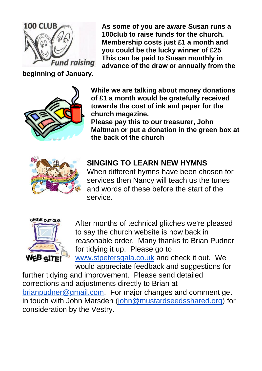

**As some of you are aware Susan runs a 100club to raise funds for the church. Membership costs just £1 a month and you could be the lucky winner of £25 This can be paid to Susan monthly in advance of the draw or annually from the** 

**beginning of January.**



**While we are talking about money donations of £1 a month would be gratefully received towards the cost of ink and paper for the church magazine.**

**Please pay this to our treasurer, John Maltman or put a donation in the green box at the back of the church**



# **SINGING TO LEARN NEW HYMNS**

When different hymns have been chosen for services then Nancy will teach us the tunes and words of these before the start of the service.



After months of technical glitches we're pleased to say the church website is now back in reasonable order. Many thanks to Brian Pudner for tidying it up. Please go to [www.stpetersgala.co.uk](http://www.stpetersgala.co.uk/) and check it out. We would appreciate feedback and suggestions for

further tidying and improvement. Please send detailed corrections and adjustments directly to Brian at [brianpudner@gmail.com.](mailto:brianpudner@gmail.com) For major changes and comment get in touch with John Marsden [\(john@mustardseedsshared.org\)](mailto:john@mustardseedsshared.org) for consideration by the Vestry.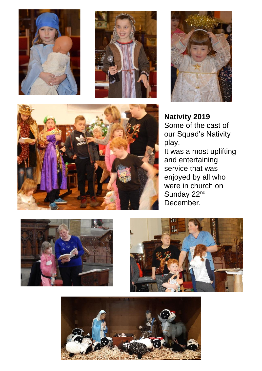







**Nativity 2019** Some of the cast of our Squad's Nativity play. It was a most uplifting and entertaining service that was enjoyed by all who were in church on Sunday 22<sup>nd</sup> December.





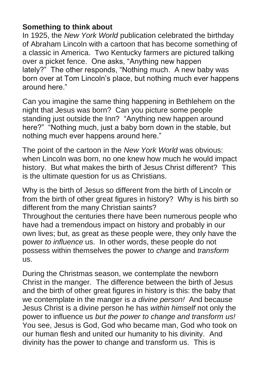### **Something to think about**

In 1925, the *New York World* publication celebrated the birthday of Abraham Lincoln with a cartoon that has become something of a classic in America. Two Kentucky farmers are pictured talking over a picket fence. One asks, "Anything new happen lately?" The other responds, "Nothing much. A new baby was born over at Tom Lincoln's place, but nothing much ever happens around here."

Can you imagine the same thing happening in Bethlehem on the night that Jesus was born? Can you picture some people standing just outside the Inn? "Anything new happen around here?" "Nothing much, just a baby born down in the stable, but nothing much ever happens around here."

The point of the cartoon in the *New York World* was obvious: when Lincoln was born, no one knew how much he would impact history. But what makes the birth of Jesus Christ different? This is the ultimate question for us as Christians.

Why is the birth of Jesus so different from the birth of Lincoln or from the birth of other great figures in history? Why is his birth so different from the many Christian saints?

Throughout the centuries there have been numerous people who have had a tremendous impact on history and probably in our own lives; but, as great as these people were, they only have the power *to influence* us. In other words, these people do not possess within themselves the power to *change* and *transform* us.

During the Christmas season, we contemplate the newborn Christ in the manger. The difference between the birth of Jesus and the birth of other great figures in history is this: the baby that we contemplate in the manger is *a divine person!* And because Jesus Christ is a divine person he has *within himself* not only the power to influence us *but the power to change and transform us!* You see, Jesus is God, God who became man, God who took on our human flesh and united our humanity to his divinity. And divinity has the power to change and transform us. This is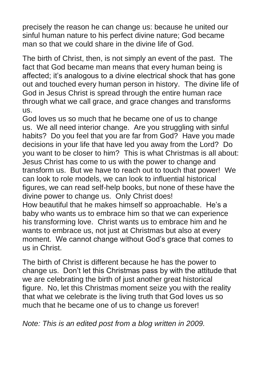precisely the reason he can change us: because he united our sinful human nature to his perfect divine nature; God became man so that we could share in the divine life of God.

The birth of Christ, then, is not simply an event of the past. The fact that God became man means that every human being is affected; it's analogous to a divine electrical shock that has gone out and touched every human person in history. The divine life of God in Jesus Christ is spread through the entire human race through what we call grace, and grace changes and transforms us.

God loves us so much that he became one of us to change us. We all need interior change. Are you struggling with sinful habits? Do you feel that you are far from God? Have you made decisions in your life that have led you away from the Lord? Do you want to be closer to him? This is what Christmas is all about: Jesus Christ has come to us with the power to change and transform us. But we have to reach out to touch that power! We can look to role models, we can look to influential historical figures, we can read self-help books, but none of these have the divine power to change us. Only Christ does!

How beautiful that he makes himself so approachable. He's a baby who wants us to embrace him so that we can experience his transforming love. Christ wants us to embrace him and he wants to embrace us, not just at Christmas but also at every moment. We cannot change without God's grace that comes to us in Christ.

The birth of Christ is different because he has the power to change us. Don't let this Christmas pass by with the attitude that we are celebrating the birth of just another great historical figure. No, let this Christmas moment seize you with the reality that what we celebrate is the living truth that God loves us so much that he became one of us to change us forever!

*Note: This is an edited post from a blog written in 2009.*